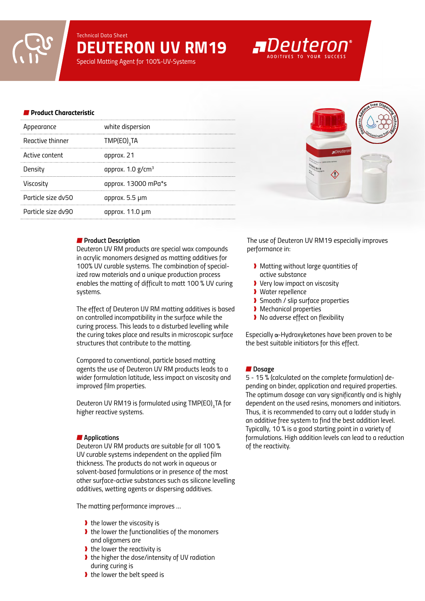*Technical Data Sheet DEUTERON UV RM19*

*Special Matting Agent for 100%-UV-Systems*

#### *Product Characteristic*

| white dispersion                |
|---------------------------------|
| TMP(EO) <sub>3</sub> TA         |
| approx. 21                      |
| approx. $1.0$ g/cm <sup>3</sup> |
| approx. 13000 mPa*s             |
| approx. 5.5 µm                  |
| approx. 11.0 µm                 |
|                                 |

#### *Product Description*

*Deuteron UV RM products are special wax compounds in acrylic monomers designed as matting additives for 100% UV curable systems. The combination of specialized raw materials and a unique production process enables the matting of difficult to matt 100 % UV curing systems.* 

*The effect of Deuteron UV RM matting additives is based on controlled incompatibility in the surface while the curing process. This leads to a disturbed levelling while the curing takes place and results in microscopic surface structures that contribute to the matting.* 

*Compared to conventional, particle based matting agents the use of Deuteron UV RM products leads to a wider formulation latitude, less impact on viscosity and improved film properties.* 

Deuteron UV RM19 is formulated using TMP(EO)<sub>3</sub>TA for *higher reactive systems.*

#### *Applications*

*Deuteron UV RM products are suitable for all 100 % UV curable systems independent on the applied film thickness. The products do not work in aqueous or solvent-based formulations or in presence of the most other surface-active substances such as silicone levelling additives, wetting agents or dispersing additives.*

*The matting performance improves …* 

- ❱ *the lower the viscosity is*
- ❱ *the lower the functionalities of the monomers and oligomers are*
- ❱ *the lower the reactivity is*
- ❱ *the higher the dose/intensity of UV radiation during curing is*
- ❱ *the lower the belt speed is*

*The use of Deuteron UV RM19 especially improves performance in:* 

- ❱ *Matting without large quantities of active substance*
- ❱ *Very low impact on viscosity*
- ❱ *Water repellence*
- ❱ *Smooth / slip surface properties*
- ❱ *Mechanical properties*
- ❱ *No adverse effect on flexibility*

*Especially* α-Hydroxyketones have been proven to be *the best suitable initiators for this effect.*

#### ■ Dosage

*5 - 15 % (calculated on the complete formulation) depending on binder, application and required properties. The optimum dosage can vary significantly and is highly dependent on the used resins, monomers and initiators. Thus, it is recommended to carry out a ladder study in an additive free system to find the best addition level. Typically, 10 % is a good starting point in a variety of formulations. High addition levels can lead to a reduction of the reactivity.*



# **ADeuteron**